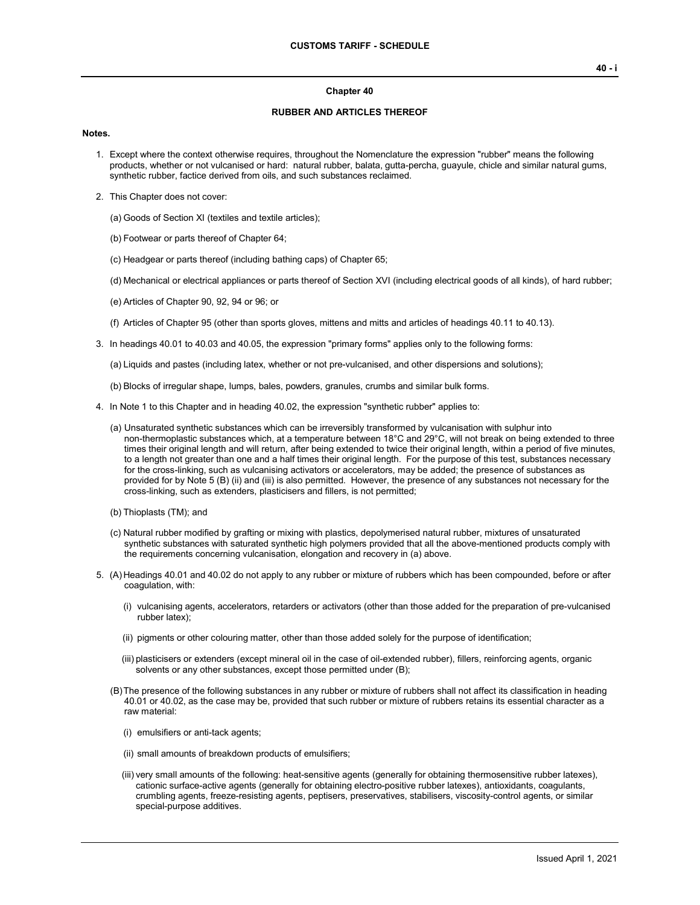#### **Chapter 40**

#### **RUBBER AND ARTICLES THEREOF**

#### **Notes.**

- 1. Except where the context otherwise requires, throughout the Nomenclature the expression "rubber" means the following products, whether or not vulcanised or hard: natural rubber, balata, gutta-percha, guayule, chicle and similar natural gums, synthetic rubber, factice derived from oils, and such substances reclaimed.
- 2. This Chapter does not cover:
	- (a) Goods of Section XI (textiles and textile articles);
	- (b) Footwear or parts thereof of Chapter 64;
	- (c) Headgear or parts thereof (including bathing caps) of Chapter 65;
	- (d) Mechanical or electrical appliances or parts thereof of Section XVI (including electrical goods of all kinds), of hard rubber;
	- (e) Articles of Chapter 90, 92, 94 or 96; or
	- (f) Articles of Chapter 95 (other than sports gloves, mittens and mitts and articles of headings 40.11 to 40.13).
- 3. In headings 40.01 to 40.03 and 40.05, the expression "primary forms" applies only to the following forms:

(a) Liquids and pastes (including latex, whether or not pre-vulcanised, and other dispersions and solutions);

- (b) Blocks of irregular shape, lumps, bales, powders, granules, crumbs and similar bulk forms.
- 4. In Note 1 to this Chapter and in heading 40.02, the expression "synthetic rubber" applies to:
	- (a) Unsaturated synthetic substances which can be irreversibly transformed by vulcanisation with sulphur into non-thermoplastic substances which, at a temperature between 18°C and 29°C, will not break on being extended to three times their original length and will return, after being extended to twice their original length, within a period of five minutes, to a length not greater than one and a half times their original length. For the purpose of this test, substances necessary for the cross-linking, such as vulcanising activators or accelerators, may be added; the presence of substances as provided for by Note 5 (B) (ii) and (iii) is also permitted. However, the presence of any substances not necessary for the cross-linking, such as extenders, plasticisers and fillers, is not permitted;
	- (b) Thioplasts (TM); and
	- (c) Natural rubber modified by grafting or mixing with plastics, depolymerised natural rubber, mixtures of unsaturated synthetic substances with saturated synthetic high polymers provided that all the above-mentioned products comply with the requirements concerning vulcanisation, elongation and recovery in (a) above.
- 5. (A) Headings 40.01 and 40.02 do not apply to any rubber or mixture of rubbers which has been compounded, before or after coagulation, with:
	- (i) vulcanising agents, accelerators, retarders or activators (other than those added for the preparation of pre-vulcanised rubber latex);
	- (ii) pigments or other colouring matter, other than those added solely for the purpose of identification;
	- (iii) plasticisers or extenders (except mineral oil in the case of oil-extended rubber), fillers, reinforcing agents, organic solvents or any other substances, except those permitted under (B);
	- (B)The presence of the following substances in any rubber or mixture of rubbers shall not affect its classification in heading 40.01 or 40.02, as the case may be, provided that such rubber or mixture of rubbers retains its essential character as a raw material:
		- (i) emulsifiers or anti-tack agents;
		- (ii) small amounts of breakdown products of emulsifiers;
		- (iii) very small amounts of the following: heat-sensitive agents (generally for obtaining thermosensitive rubber latexes), cationic surface-active agents (generally for obtaining electro-positive rubber latexes), antioxidants, coagulants, crumbling agents, freeze-resisting agents, peptisers, preservatives, stabilisers, viscosity-control agents, or similar special-purpose additives.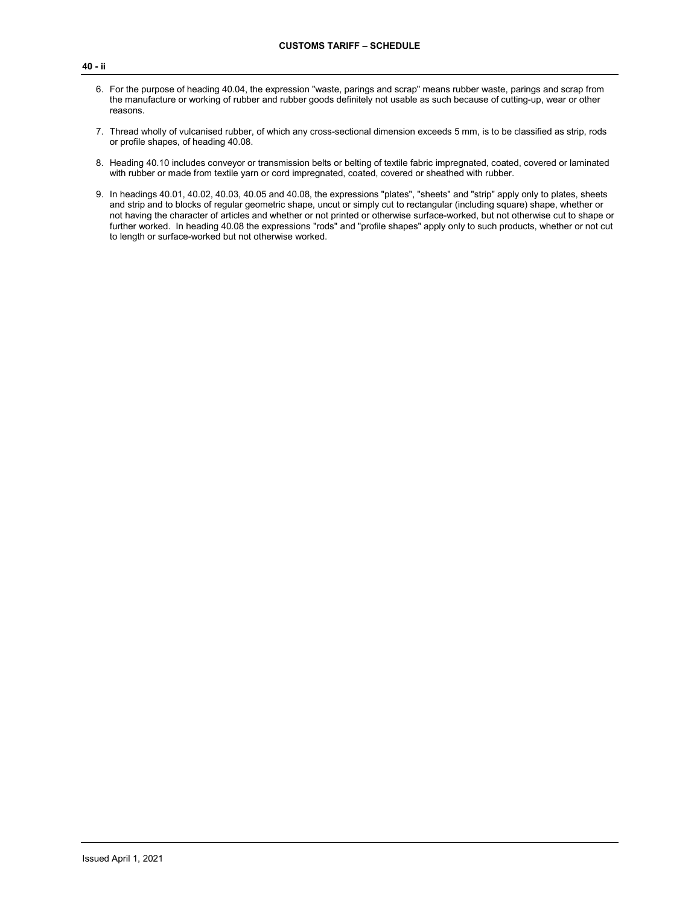- 6. For the purpose of heading 40.04, the expression "waste, parings and scrap" means rubber waste, parings and scrap from the manufacture or working of rubber and rubber goods definitely not usable as such because of cutting-up, wear or other reasons.
- 7. Thread wholly of vulcanised rubber, of which any cross-sectional dimension exceeds 5 mm, is to be classified as strip, rods or profile shapes, of heading 40.08.
- 8. Heading 40.10 includes conveyor or transmission belts or belting of textile fabric impregnated, coated, covered or laminated with rubber or made from textile yarn or cord impregnated, coated, covered or sheathed with rubber.
- 9. In headings 40.01, 40.02, 40.03, 40.05 and 40.08, the expressions "plates", "sheets" and "strip" apply only to plates, sheets and strip and to blocks of regular geometric shape, uncut or simply cut to rectangular (including square) shape, whether or not having the character of articles and whether or not printed or otherwise surface-worked, but not otherwise cut to shape or further worked. In heading 40.08 the expressions "rods" and "profile shapes" apply only to such products, whether or not cut to length or surface-worked but not otherwise worked.

**40 - ii**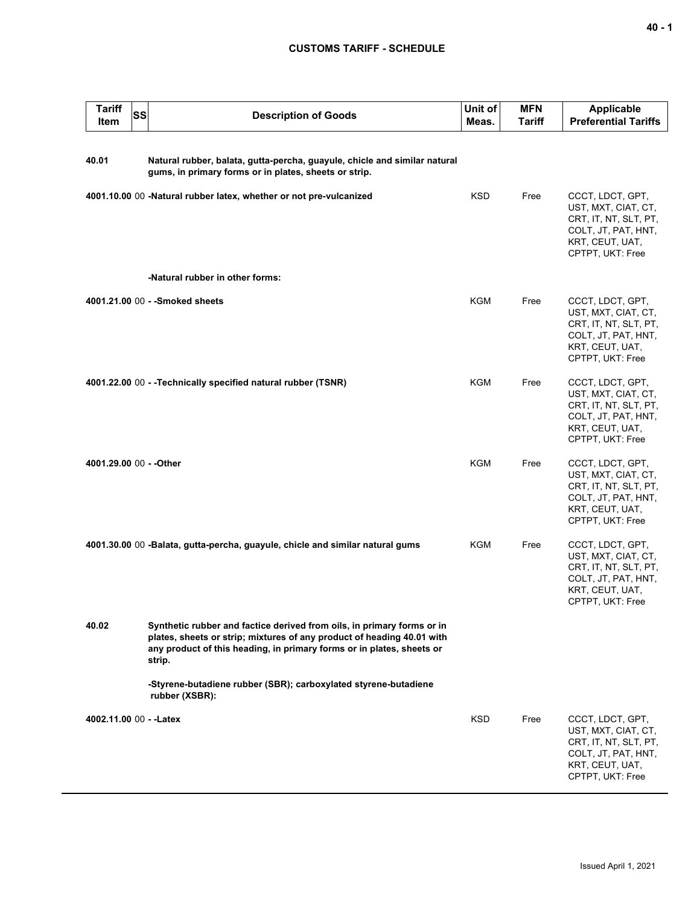### **CUSTOMS TARIFF - SCHEDULE**

| <b>Tariff</b><br>Item   | SS<br><b>Description of Goods</b>                                                                                                                                                                                                   | Unit of<br>Meas. | <b>MFN</b><br>Tariff | Applicable<br><b>Preferential Tariffs</b>                                                                                      |
|-------------------------|-------------------------------------------------------------------------------------------------------------------------------------------------------------------------------------------------------------------------------------|------------------|----------------------|--------------------------------------------------------------------------------------------------------------------------------|
| 40.01                   | Natural rubber, balata, gutta-percha, guayule, chicle and similar natural<br>gums, in primary forms or in plates, sheets or strip.                                                                                                  |                  |                      |                                                                                                                                |
|                         | 4001.10.00 00 -Natural rubber latex, whether or not pre-vulcanized                                                                                                                                                                  | <b>KSD</b>       | Free                 | CCCT, LDCT, GPT,<br>UST, MXT, CIAT, CT,<br>CRT, IT, NT, SLT, PT,<br>COLT, JT, PAT, HNT,<br>KRT, CEUT, UAT,<br>CPTPT, UKT: Free |
|                         | -Natural rubber in other forms:                                                                                                                                                                                                     |                  |                      |                                                                                                                                |
|                         | 4001.21.00 00 - - Smoked sheets                                                                                                                                                                                                     | <b>KGM</b>       | Free                 | CCCT, LDCT, GPT,<br>UST, MXT, CIAT, CT,<br>CRT, IT, NT, SLT, PT,<br>COLT, JT, PAT, HNT,<br>KRT, CEUT, UAT,<br>CPTPT, UKT: Free |
|                         | 4001.22.00 00 - -Technically specified natural rubber (TSNR)                                                                                                                                                                        | <b>KGM</b>       | Free                 | CCCT, LDCT, GPT,<br>UST, MXT, CIAT, CT,<br>CRT, IT, NT, SLT, PT,<br>COLT, JT, PAT, HNT,<br>KRT, CEUT, UAT,<br>CPTPT, UKT: Free |
| 4001.29.00 00 - - Other |                                                                                                                                                                                                                                     | <b>KGM</b>       | Free                 | CCCT, LDCT, GPT,<br>UST, MXT, CIAT, CT,<br>CRT, IT, NT, SLT, PT,<br>COLT, JT, PAT, HNT,<br>KRT, CEUT, UAT,<br>CPTPT, UKT: Free |
|                         | 4001.30.00 00 -Balata, gutta-percha, guayule, chicle and similar natural gums                                                                                                                                                       | KGM              | Free                 | CCCT, LDCT, GPT,<br>UST, MXT, CIAT, CT,<br>CRT, IT, NT, SLT, PT,<br>COLT, JT, PAT, HNT,<br>KRT, CEUT, UAT,<br>CPTPT, UKT: Free |
| 40.02                   | Synthetic rubber and factice derived from oils, in primary forms or in<br>plates, sheets or strip; mixtures of any product of heading 40.01 with<br>any product of this heading, in primary forms or in plates, sheets or<br>strip. |                  |                      |                                                                                                                                |
|                         | -Styrene-butadiene rubber (SBR); carboxylated styrene-butadiene<br>rubber (XSBR):                                                                                                                                                   |                  |                      |                                                                                                                                |
| 4002.11.00 00 - - Latex |                                                                                                                                                                                                                                     | <b>KSD</b>       | Free                 | CCCT, LDCT, GPT,<br>UST, MXT, CIAT, CT,<br>CRT, IT, NT, SLT, PT,<br>COLT, JT, PAT, HNT,<br>KRT, CEUT, UAT,<br>CPTPT, UKT: Free |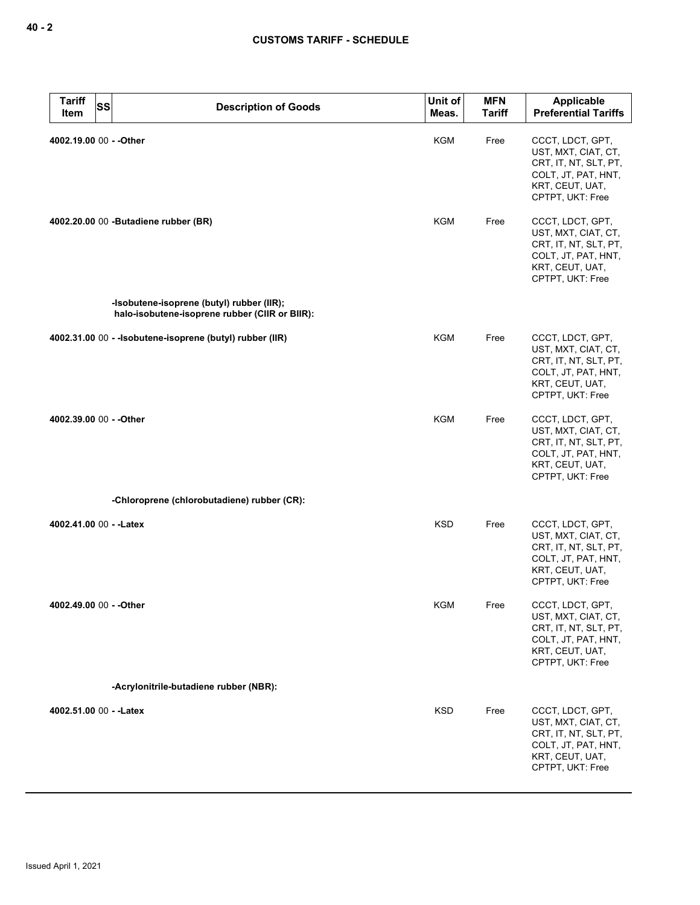| <b>Tariff</b><br><b>Item</b> | SS | <b>Description of Goods</b>                                                                 | Unit of<br>Meas. | <b>MFN</b><br><b>Tariff</b> | <b>Applicable</b><br><b>Preferential Tariffs</b>                                                                               |
|------------------------------|----|---------------------------------------------------------------------------------------------|------------------|-----------------------------|--------------------------------------------------------------------------------------------------------------------------------|
| 4002.19.00 00 - - Other      |    |                                                                                             | <b>KGM</b>       | Free                        | CCCT, LDCT, GPT,<br>UST, MXT, CIAT, CT,<br>CRT, IT, NT, SLT, PT,<br>COLT, JT, PAT, HNT,<br>KRT, CEUT, UAT,<br>CPTPT, UKT: Free |
|                              |    | 4002.20.00 00 -Butadiene rubber (BR)                                                        | KGM              | Free                        | CCCT, LDCT, GPT,<br>UST, MXT, CIAT, CT,<br>CRT, IT, NT, SLT, PT,<br>COLT, JT, PAT, HNT,<br>KRT, CEUT, UAT,<br>CPTPT, UKT: Free |
|                              |    | -Isobutene-isoprene (butyl) rubber (IIR);<br>halo-isobutene-isoprene rubber (CIIR or BIIR): |                  |                             |                                                                                                                                |
|                              |    | 4002.31.00 00 - - Isobutene-isoprene (butyl) rubber (IIR)                                   | KGM              | Free                        | CCCT, LDCT, GPT,<br>UST, MXT, CIAT, CT,<br>CRT, IT, NT, SLT, PT,<br>COLT, JT, PAT, HNT,<br>KRT, CEUT, UAT,<br>CPTPT, UKT: Free |
| 4002.39.00 00 - - Other      |    |                                                                                             | <b>KGM</b>       | Free                        | CCCT, LDCT, GPT,<br>UST, MXT, CIAT, CT,<br>CRT, IT, NT, SLT, PT,<br>COLT, JT, PAT, HNT,<br>KRT, CEUT, UAT,<br>CPTPT, UKT: Free |
|                              |    | -Chloroprene (chlorobutadiene) rubber (CR):                                                 |                  |                             |                                                                                                                                |
| 4002.41.00 00 - - Latex      |    |                                                                                             | <b>KSD</b>       | Free                        | CCCT, LDCT, GPT,<br>UST, MXT, CIAT, CT,<br>CRT, IT, NT, SLT, PT,<br>COLT, JT, PAT, HNT,<br>KRT, CEUT, UAT,<br>CPTPT, UKT: Free |
| 4002.49.00 00 - - Other      |    |                                                                                             | KGM              | Free                        | CCCT, LDCT, GPT,<br>UST, MXT, CIAT, CT,<br>CRT, IT, NT, SLT, PT,<br>COLT, JT, PAT, HNT,<br>KRT, CEUT, UAT,<br>CPTPT, UKT: Free |
|                              |    | -Acrylonitrile-butadiene rubber (NBR):                                                      |                  |                             |                                                                                                                                |
| 4002.51.00 00 - - Latex      |    |                                                                                             | <b>KSD</b>       | Free                        | CCCT, LDCT, GPT,<br>UST, MXT, CIAT, CT,<br>CRT, IT, NT, SLT, PT,<br>COLT, JT, PAT, HNT,<br>KRT, CEUT, UAT,<br>CPTPT, UKT: Free |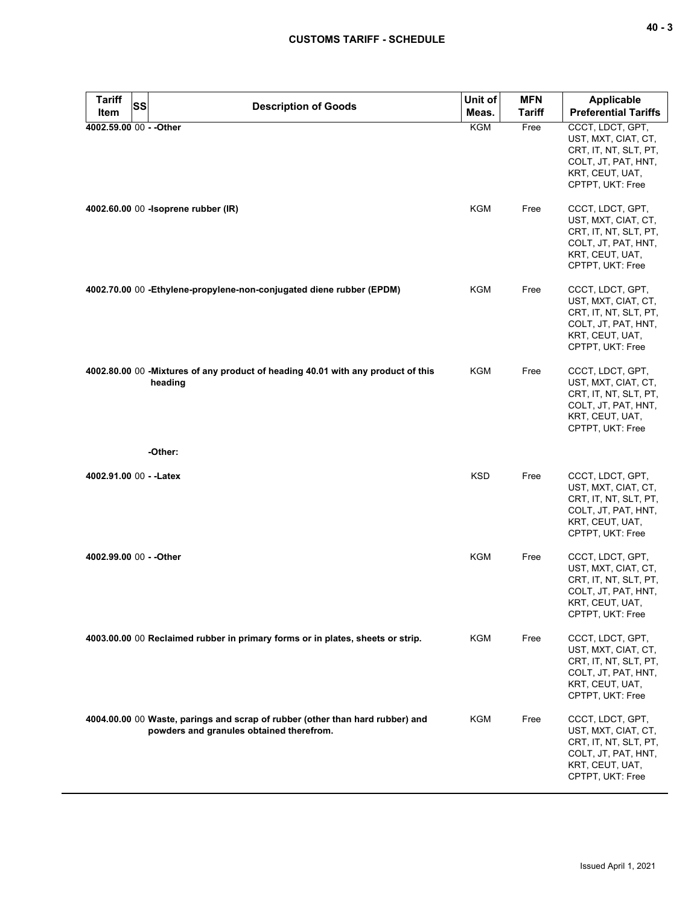| $\sim$ |  | v<br>۰. |
|--------|--|---------|
|--------|--|---------|

| <b>Tariff</b>                   | <b>SS</b> | <b>Description of Goods</b>                                                                                               | Unit of             | <b>MFN</b>            | <b>Applicable</b>                                                                                                              |
|---------------------------------|-----------|---------------------------------------------------------------------------------------------------------------------------|---------------------|-----------------------|--------------------------------------------------------------------------------------------------------------------------------|
| Item<br>4002.59.00 00 - - Other |           |                                                                                                                           | Meas.<br><b>KGM</b> | <b>Tariff</b><br>Free | <b>Preferential Tariffs</b><br>CCCT, LDCT, GPT,                                                                                |
|                                 |           |                                                                                                                           |                     |                       | UST, MXT, CIAT, CT,<br>CRT, IT, NT, SLT, PT,<br>COLT, JT, PAT, HNT,<br>KRT, CEUT, UAT,<br>CPTPT, UKT: Free                     |
|                                 |           | 4002.60.00 00 - Isoprene rubber (IR)                                                                                      | KGM                 | Free                  | CCCT, LDCT, GPT,<br>UST, MXT, CIAT, CT,<br>CRT, IT, NT, SLT, PT,<br>COLT, JT, PAT, HNT,<br>KRT, CEUT, UAT,<br>CPTPT, UKT: Free |
|                                 |           | 4002.70.00 00 - Ethylene-propylene-non-conjugated diene rubber (EPDM)                                                     | KGM                 | Free                  | CCCT, LDCT, GPT,<br>UST, MXT, CIAT, CT,<br>CRT, IT, NT, SLT, PT,<br>COLT, JT, PAT, HNT,<br>KRT, CEUT, UAT,<br>CPTPT, UKT: Free |
|                                 |           | 4002.80.00 00 - Mixtures of any product of heading 40.01 with any product of this<br>heading                              | <b>KGM</b>          | Free                  | CCCT, LDCT, GPT,<br>UST, MXT, CIAT, CT,<br>CRT, IT, NT, SLT, PT,<br>COLT, JT, PAT, HNT,<br>KRT, CEUT, UAT,<br>CPTPT, UKT: Free |
|                                 |           | -Other:                                                                                                                   |                     |                       |                                                                                                                                |
| 4002.91.00 00 - - Latex         |           |                                                                                                                           | <b>KSD</b>          | Free                  | CCCT, LDCT, GPT,<br>UST, MXT, CIAT, CT,<br>CRT, IT, NT, SLT, PT,<br>COLT, JT, PAT, HNT,<br>KRT, CEUT, UAT,<br>CPTPT, UKT: Free |
| 4002.99.00 00 - - Other         |           |                                                                                                                           | KGM                 | Free                  | CCCT, LDCT, GPT,<br>UST, MXT, CIAT, CT,<br>CRT, IT, NT, SLT, PT,<br>COLT, JT, PAT, HNT,<br>KRT, CEUT, UAT,<br>CPTPT, UKT: Free |
|                                 |           | 4003.00.00 00 Reclaimed rubber in primary forms or in plates, sheets or strip.                                            | <b>KGM</b>          | Free                  | CCCT, LDCT, GPT,<br>UST, MXT, CIAT, CT,<br>CRT, IT, NT, SLT, PT,<br>COLT, JT, PAT, HNT,<br>KRT, CEUT, UAT,<br>CPTPT, UKT: Free |
|                                 |           | 4004.00.00 00 Waste, parings and scrap of rubber (other than hard rubber) and<br>powders and granules obtained therefrom. | KGM                 | Free                  | CCCT, LDCT, GPT,<br>UST, MXT, CIAT, CT,<br>CRT, IT, NT, SLT, PT,<br>COLT, JT, PAT, HNT,<br>KRT, CEUT, UAT,<br>CPTPT, UKT: Free |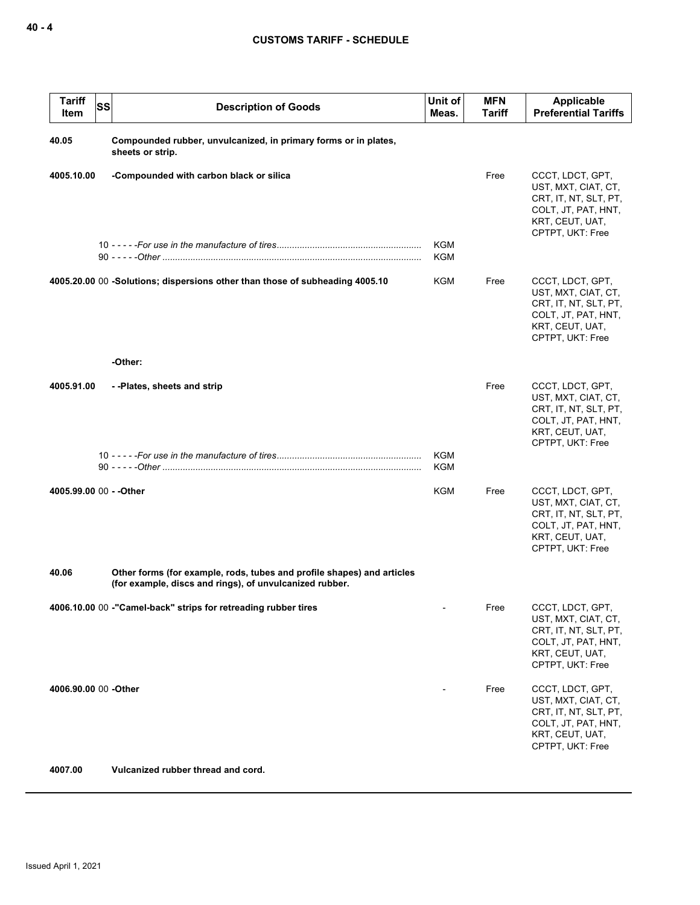| <b>Tariff</b><br>Item   | <b>SS</b><br><b>Description of Goods</b>                                                                                          | Unit of<br>Meas.         | <b>MFN</b><br>Tariff | Applicable<br><b>Preferential Tariffs</b>                                                                                      |
|-------------------------|-----------------------------------------------------------------------------------------------------------------------------------|--------------------------|----------------------|--------------------------------------------------------------------------------------------------------------------------------|
| 40.05                   | Compounded rubber, unvulcanized, in primary forms or in plates,<br>sheets or strip.                                               |                          |                      |                                                                                                                                |
| 4005.10.00              | -Compounded with carbon black or silica                                                                                           |                          | Free                 | CCCT, LDCT, GPT,<br>UST, MXT, CIAT, CT,<br>CRT, IT, NT, SLT, PT,<br>COLT, JT, PAT, HNT,<br>KRT, CEUT, UAT,<br>CPTPT, UKT: Free |
|                         |                                                                                                                                   | <b>KGM</b><br><b>KGM</b> |                      |                                                                                                                                |
|                         | 4005.20.00 00 -Solutions; dispersions other than those of subheading 4005.10                                                      | KGM                      | Free                 | CCCT, LDCT, GPT,<br>UST, MXT, CIAT, CT,<br>CRT, IT, NT, SLT, PT,<br>COLT, JT, PAT, HNT,<br>KRT, CEUT, UAT,<br>CPTPT, UKT: Free |
|                         | -Other:                                                                                                                           |                          |                      |                                                                                                                                |
| 4005.91.00              | --Plates, sheets and strip                                                                                                        |                          | Free                 | CCCT, LDCT, GPT,<br>UST, MXT, CIAT, CT,<br>CRT, IT, NT, SLT, PT,<br>COLT, JT, PAT, HNT,<br>KRT, CEUT, UAT,<br>CPTPT, UKT: Free |
|                         |                                                                                                                                   | KGM<br>KGM               |                      |                                                                                                                                |
| 4005.99.00 00 - - Other |                                                                                                                                   | <b>KGM</b>               | Free                 | CCCT, LDCT, GPT,<br>UST, MXT, CIAT, CT,<br>CRT, IT, NT, SLT, PT,<br>COLT, JT, PAT, HNT,<br>KRT, CEUT, UAT,<br>CPTPT, UKT: Free |
| 40.06                   | Other forms (for example, rods, tubes and profile shapes) and articles<br>(for example, discs and rings), of unvulcanized rubber. |                          |                      |                                                                                                                                |
|                         | 4006.10.00 00 -"Camel-back" strips for retreading rubber tires                                                                    | -                        | Free                 | CCCT, LDCT, GPT,<br>UST, MXT, CIAT, CT,<br>CRT, IT, NT, SLT, PT,<br>COLT, JT, PAT, HNT,<br>KRT, CEUT, UAT,<br>CPTPT, UKT: Free |
| 4006.90.00 00 -Other    |                                                                                                                                   |                          | Free                 | CCCT, LDCT, GPT,<br>UST, MXT, CIAT, CT,<br>CRT, IT, NT, SLT, PT,<br>COLT, JT, PAT, HNT,<br>KRT, CEUT, UAT,<br>CPTPT, UKT: Free |
| 4007.00                 | Vulcanized rubber thread and cord.                                                                                                |                          |                      |                                                                                                                                |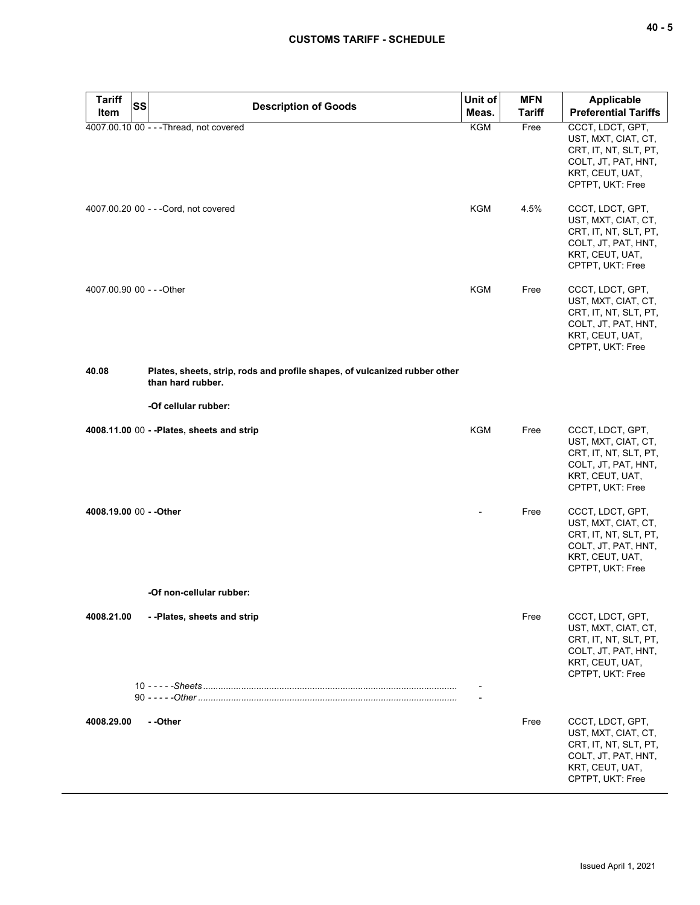| ×<br>۰. |  | ×<br>۰. |
|---------|--|---------|
|---------|--|---------|

| Tariff<br>Item            | <b>SS</b> | <b>Description of Goods</b>                                                                     | Unit of<br>Meas. | <b>MFN</b><br><b>Tariff</b> | <b>Applicable</b><br><b>Preferential Tariffs</b>                                                                               |
|---------------------------|-----------|-------------------------------------------------------------------------------------------------|------------------|-----------------------------|--------------------------------------------------------------------------------------------------------------------------------|
|                           |           | 4007.00.10 00 - - - Thread, not covered                                                         | KGM              | Free                        | CCCT, LDCT, GPT,<br>UST, MXT, CIAT, CT,<br>CRT, IT, NT, SLT, PT,<br>COLT, JT, PAT, HNT,<br>KRT, CEUT, UAT,<br>CPTPT, UKT: Free |
|                           |           | 4007.00.20 00 - - - Cord, not covered                                                           | <b>KGM</b>       | 4.5%                        | CCCT, LDCT, GPT,<br>UST, MXT, CIAT, CT,<br>CRT, IT, NT, SLT, PT,<br>COLT, JT, PAT, HNT,<br>KRT, CEUT, UAT,<br>CPTPT, UKT: Free |
| 4007.00.90 00 - - - Other |           |                                                                                                 | KGM              | Free                        | CCCT, LDCT, GPT,<br>UST, MXT, CIAT, CT,<br>CRT, IT, NT, SLT, PT,<br>COLT, JT, PAT, HNT,<br>KRT, CEUT, UAT,<br>CPTPT, UKT: Free |
| 40.08                     |           | Plates, sheets, strip, rods and profile shapes, of vulcanized rubber other<br>than hard rubber. |                  |                             |                                                                                                                                |
|                           |           | -Of cellular rubber:                                                                            |                  |                             |                                                                                                                                |
|                           |           | 4008.11.00 00 - - Plates, sheets and strip                                                      | <b>KGM</b>       | Free                        | CCCT, LDCT, GPT,<br>UST, MXT, CIAT, CT,<br>CRT, IT, NT, SLT, PT,<br>COLT, JT, PAT, HNT,<br>KRT, CEUT, UAT,<br>CPTPT, UKT: Free |
| 4008.19.00 00 - - Other   |           |                                                                                                 |                  | Free                        | CCCT, LDCT, GPT,<br>UST, MXT, CIAT, CT,<br>CRT, IT, NT, SLT, PT,<br>COLT, JT, PAT, HNT,<br>KRT, CEUT, UAT,<br>CPTPT, UKT: Free |
|                           |           | -Of non-cellular rubber:                                                                        |                  |                             |                                                                                                                                |
| 4008.21.00                |           | - - Plates, sheets and strip                                                                    |                  | Free                        | CCCT, LDCT, GPT,<br>UST, MXT, CIAT, CT,<br>CRT, IT, NT, SLT, PT,<br>COLT, JT, PAT, HNT,<br>KRT, CEUT, UAT,<br>CPTPT, UKT: Free |
|                           |           |                                                                                                 |                  |                             |                                                                                                                                |
| 4008.29.00                |           | - -Other                                                                                        |                  | Free                        | CCCT, LDCT, GPT,<br>UST, MXT, CIAT, CT,<br>CRT, IT, NT, SLT, PT,<br>COLT, JT, PAT, HNT,<br>KRT, CEUT, UAT,<br>CPTPT, UKT: Free |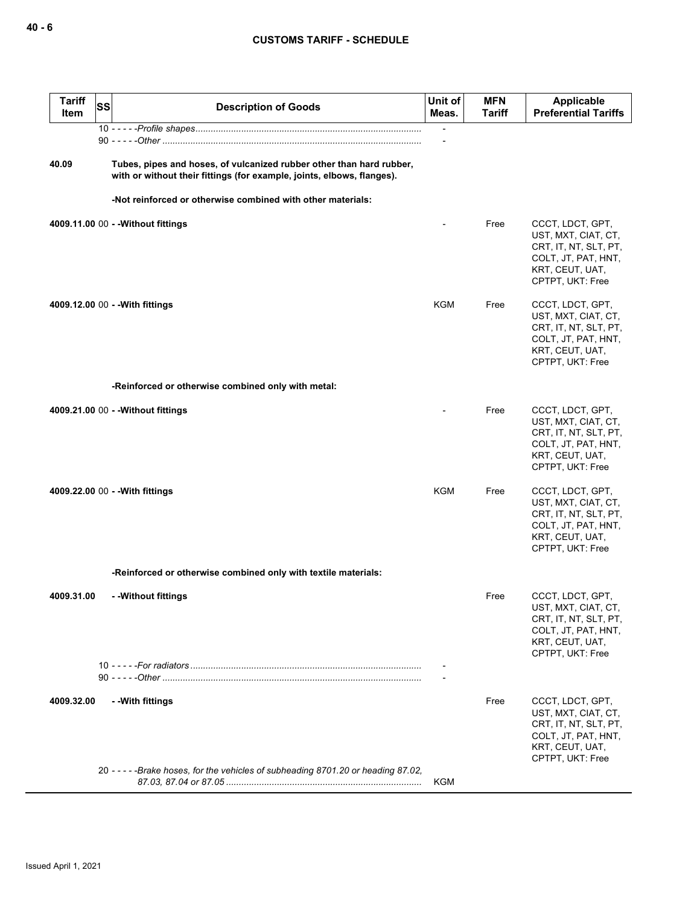| <b>Tariff</b><br><b>SS</b><br><b>Item</b> | <b>Description of Goods</b>                                                                                                                    | Unit of<br>Meas. | <b>MFN</b><br>Tariff | <b>Applicable</b><br><b>Preferential Tariffs</b>                                                                               |
|-------------------------------------------|------------------------------------------------------------------------------------------------------------------------------------------------|------------------|----------------------|--------------------------------------------------------------------------------------------------------------------------------|
|                                           |                                                                                                                                                |                  |                      |                                                                                                                                |
| 40.09                                     | Tubes, pipes and hoses, of vulcanized rubber other than hard rubber,<br>with or without their fittings (for example, joints, elbows, flanges). |                  |                      |                                                                                                                                |
|                                           | -Not reinforced or otherwise combined with other materials:                                                                                    |                  |                      |                                                                                                                                |
|                                           | 4009.11.00 00 - - Without fittings                                                                                                             |                  | Free                 | CCCT, LDCT, GPT,<br>UST, MXT, CIAT, CT,<br>CRT, IT, NT, SLT, PT,<br>COLT, JT, PAT, HNT,<br>KRT, CEUT, UAT,<br>CPTPT, UKT: Free |
|                                           | 4009.12.00 00 - - With fittings                                                                                                                | KGM              | Free                 | CCCT, LDCT, GPT,<br>UST, MXT, CIAT, CT,<br>CRT, IT, NT, SLT, PT,<br>COLT, JT, PAT, HNT,<br>KRT, CEUT, UAT,<br>CPTPT, UKT: Free |
|                                           | -Reinforced or otherwise combined only with metal:                                                                                             |                  |                      |                                                                                                                                |
|                                           | 4009.21.00 00 - - Without fittings                                                                                                             |                  | Free                 | CCCT, LDCT, GPT,<br>UST, MXT, CIAT, CT,<br>CRT, IT, NT, SLT, PT,<br>COLT, JT, PAT, HNT,<br>KRT, CEUT, UAT,<br>CPTPT, UKT: Free |
|                                           | 4009.22.00 00 - - With fittings                                                                                                                | <b>KGM</b>       | Free                 | CCCT, LDCT, GPT,<br>UST, MXT, CIAT, CT,<br>CRT, IT, NT, SLT, PT,<br>COLT, JT, PAT, HNT,<br>KRT, CEUT, UAT,<br>CPTPT, UKT: Free |
|                                           | -Reinforced or otherwise combined only with textile materials:                                                                                 |                  |                      |                                                                                                                                |
| 4009.31.00                                | - -Without fittings                                                                                                                            |                  | Free                 | CCCT, LDCT, GPT,<br>UST, MXT, CIAT, CT,<br>CRT, IT, NT, SLT, PT,<br>COLT, JT, PAT, HNT,<br>KRT, CEUT, UAT,<br>CPTPT, UKT: Free |
|                                           |                                                                                                                                                |                  |                      |                                                                                                                                |
| 4009.32.00                                | - - With fittings                                                                                                                              |                  | Free                 | CCCT, LDCT, GPT,<br>UST, MXT, CIAT, CT,<br>CRT, IT, NT, SLT, PT,<br>COLT, JT, PAT, HNT,<br>KRT, CEUT, UAT,<br>CPTPT, UKT: Free |
|                                           | 20 - - - - - Brake hoses, for the vehicles of subheading 8701.20 or heading 87.02,                                                             | KGM              |                      |                                                                                                                                |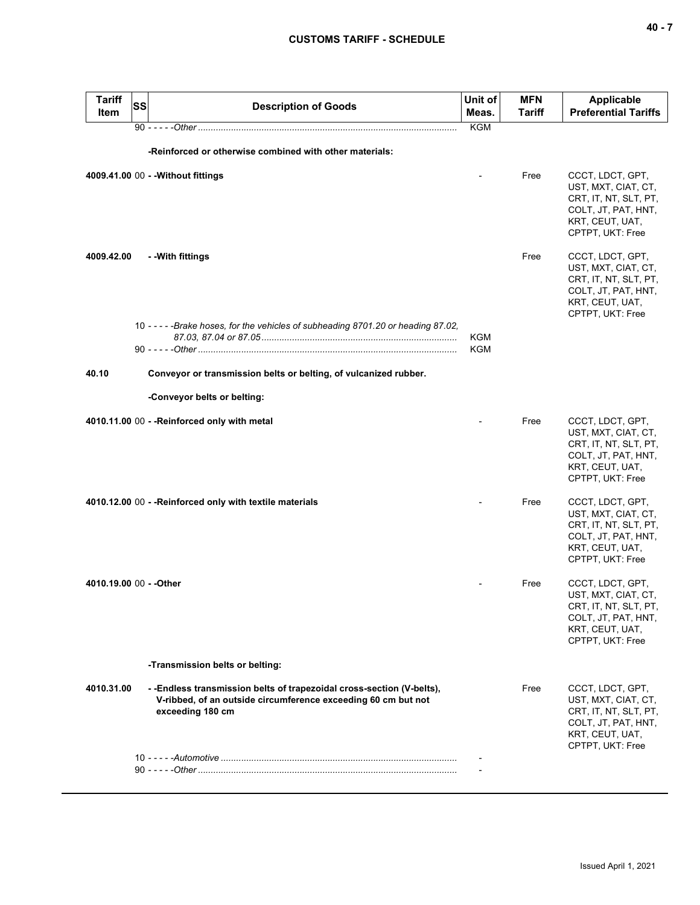|       | <b>Tariff</b><br>Item | SS | <b>Description of Goods</b>                                                                                                                                 | Unit of<br>Meas.  | <b>MFN</b><br>Tariff | <b>Applicable</b><br><b>Preferential Tariffs</b>                                                                               |
|-------|-----------------------|----|-------------------------------------------------------------------------------------------------------------------------------------------------------------|-------------------|----------------------|--------------------------------------------------------------------------------------------------------------------------------|
|       |                       |    |                                                                                                                                                             | <b>KGM</b>        |                      |                                                                                                                                |
|       |                       |    | -Reinforced or otherwise combined with other materials:                                                                                                     |                   |                      |                                                                                                                                |
|       |                       |    | 4009.41.00 00 - - Without fittings                                                                                                                          |                   | Free                 | CCCT, LDCT, GPT,<br>UST, MXT, CIAT, CT,<br>CRT, IT, NT, SLT, PT,<br>COLT, JT, PAT, HNT,<br>KRT, CEUT, UAT,<br>CPTPT, UKT: Free |
|       | 4009.42.00            |    | - - With fittings                                                                                                                                           |                   | Free                 | CCCT, LDCT, GPT,<br>UST, MXT, CIAT, CT,<br>CRT, IT, NT, SLT, PT,<br>COLT, JT, PAT, HNT,<br>KRT, CEUT, UAT,<br>CPTPT, UKT: Free |
|       |                       |    | 10 - - - - - Brake hoses, for the vehicles of subheading 8701.20 or heading 87.02,                                                                          |                   |                      |                                                                                                                                |
|       |                       |    |                                                                                                                                                             | KGM<br><b>KGM</b> |                      |                                                                                                                                |
| 40.10 |                       |    | Conveyor or transmission belts or belting, of vulcanized rubber.                                                                                            |                   |                      |                                                                                                                                |
|       |                       |    | -Conveyor belts or belting:                                                                                                                                 |                   |                      |                                                                                                                                |
|       |                       |    | 4010.11.00 00 - - Reinforced only with metal                                                                                                                |                   | Free                 | CCCT, LDCT, GPT,<br>UST, MXT, CIAT, CT,<br>CRT, IT, NT, SLT, PT,<br>COLT, JT, PAT, HNT,<br>KRT, CEUT, UAT,<br>CPTPT, UKT: Free |
|       |                       |    | 4010.12.00 00 - - Reinforced only with textile materials                                                                                                    |                   | Free                 | CCCT, LDCT, GPT,<br>UST, MXT, CIAT, CT,<br>CRT, IT, NT, SLT, PT,<br>COLT, JT, PAT, HNT,<br>KRT, CEUT, UAT,<br>CPTPT, UKT: Free |
|       |                       |    | 4010.19.00 00 - - Other                                                                                                                                     |                   | Free                 | CCCT, LDCT, GPT,<br>UST, MXT, CIAT, CT,<br>CRT, IT, NT, SLT, PT,<br>COLT, JT, PAT, HNT,<br>KRT, CEUT, UAT,<br>CPTPT, UKT: Free |
|       |                       |    | -Transmission belts or belting:                                                                                                                             |                   |                      |                                                                                                                                |
|       | 4010.31.00            |    | - - Endless transmission belts of trapezoidal cross-section (V-belts),<br>V-ribbed, of an outside circumference exceeding 60 cm but not<br>exceeding 180 cm |                   | Free                 | CCCT, LDCT, GPT,<br>UST, MXT, CIAT, CT,<br>CRT, IT, NT, SLT, PT,<br>COLT, JT, PAT, HNT,<br>KRT, CEUT, UAT,<br>CPTPT, UKT: Free |
|       |                       |    |                                                                                                                                                             |                   |                      |                                                                                                                                |
|       |                       |    |                                                                                                                                                             |                   |                      |                                                                                                                                |
|       |                       |    |                                                                                                                                                             |                   |                      |                                                                                                                                |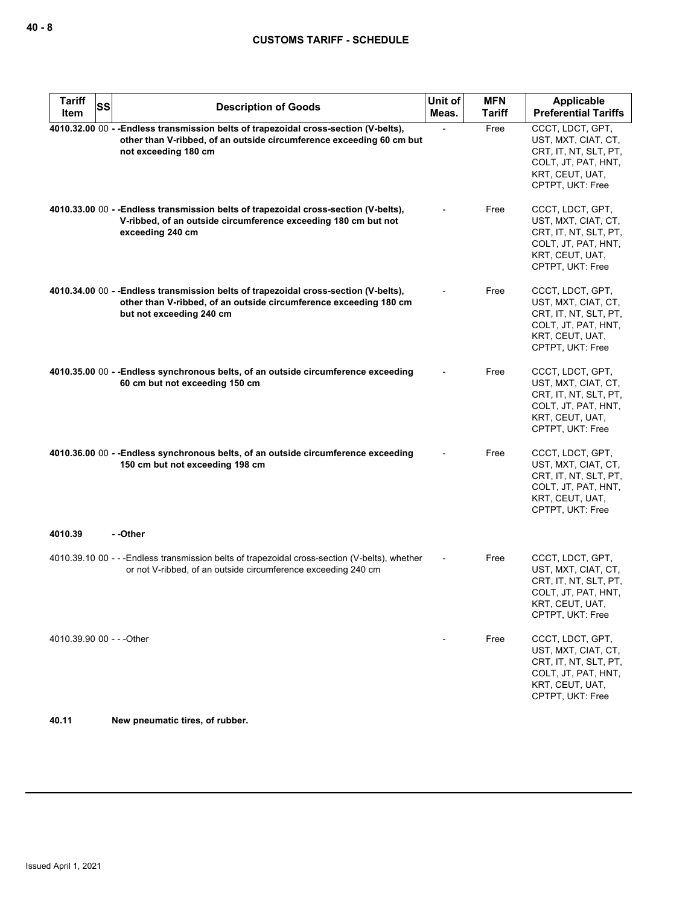| <b>Tariff</b><br>SS       | <b>Description of Goods</b>                                                                                                                                                           | Unit of | MFN           | Applicable                                                                                                                     |
|---------------------------|---------------------------------------------------------------------------------------------------------------------------------------------------------------------------------------|---------|---------------|--------------------------------------------------------------------------------------------------------------------------------|
| Item                      |                                                                                                                                                                                       | Meas.   | <b>Tariff</b> | <b>Preferential Tariffs</b>                                                                                                    |
|                           | 4010.32.00 00 - - Endless transmission belts of trapezoidal cross-section (V-belts),<br>other than V-ribbed, of an outside circumference exceeding 60 cm but<br>not exceeding 180 cm  |         | Free          | CCCT, LDCT, GPT,<br>UST, MXT, CIAT, CT,<br>CRT, IT, NT, SLT, PT,<br>COLT, JT, PAT, HNT,<br>KRT, CEUT, UAT,<br>CPTPT, UKT: Free |
|                           | 4010.33.00 00 - - Endless transmission belts of trapezoidal cross-section (V-belts),<br>V-ribbed, of an outside circumference exceeding 180 cm but not<br>exceeding 240 cm            |         | Free          | CCCT, LDCT, GPT,<br>UST, MXT, CIAT, CT,<br>CRT, IT, NT, SLT, PT,<br>COLT, JT, PAT, HNT,<br>KRT, CEUT, UAT,<br>CPTPT, UKT: Free |
|                           | 4010.34.00 00 - - Endless transmission belts of trapezoidal cross-section (V-belts),<br>other than V-ribbed, of an outside circumference exceeding 180 cm<br>but not exceeding 240 cm |         | Free          | CCCT, LDCT, GPT,<br>UST, MXT, CIAT, CT,<br>CRT, IT, NT, SLT, PT,<br>COLT, JT, PAT, HNT,<br>KRT, CEUT, UAT,<br>CPTPT, UKT: Free |
|                           | 4010.35.00 00 - - Endless synchronous belts, of an outside circumference exceeding<br>60 cm but not exceeding 150 cm                                                                  |         | Free          | CCCT, LDCT, GPT,<br>UST, MXT, CIAT, CT,<br>CRT, IT, NT, SLT, PT,<br>COLT, JT, PAT, HNT,<br>KRT, CEUT, UAT,<br>CPTPT, UKT: Free |
|                           | 4010.36.00 00 - - Endless synchronous belts, of an outside circumference exceeding<br>150 cm but not exceeding 198 cm                                                                 |         | Free          | CCCT, LDCT, GPT,<br>UST, MXT, CIAT, CT,<br>CRT, IT, NT, SLT, PT,<br>COLT, JT, PAT, HNT,<br>KRT, CEUT, UAT,<br>CPTPT, UKT: Free |
| 4010.39                   | - -Other                                                                                                                                                                              |         |               |                                                                                                                                |
|                           | 4010.39.10 00 - - - Endless transmission belts of trapezoidal cross-section (V-belts), whether<br>or not V-ribbed, of an outside circumference exceeding 240 cm                       |         | Free          | CCCT, LDCT, GPT,<br>UST, MXT, CIAT, CT,<br>CRT, IT, NT, SLT, PT,<br>COLT, JT, PAT, HNT,<br>KRT, CEUT, UAT,<br>CPTPT, UKT: Free |
| 4010.39.90 00 - - - Other |                                                                                                                                                                                       |         | Free          | CCCT, LDCT, GPT,<br>UST, MXT, CIAT, CT,<br>CRT, IT, NT, SLT, PT,<br>COLT, JT, PAT, HNT,<br>KRT, CEUT, UAT,<br>CPTPT, UKT: Free |

**40.11 New pneumatic tires, of rubber.**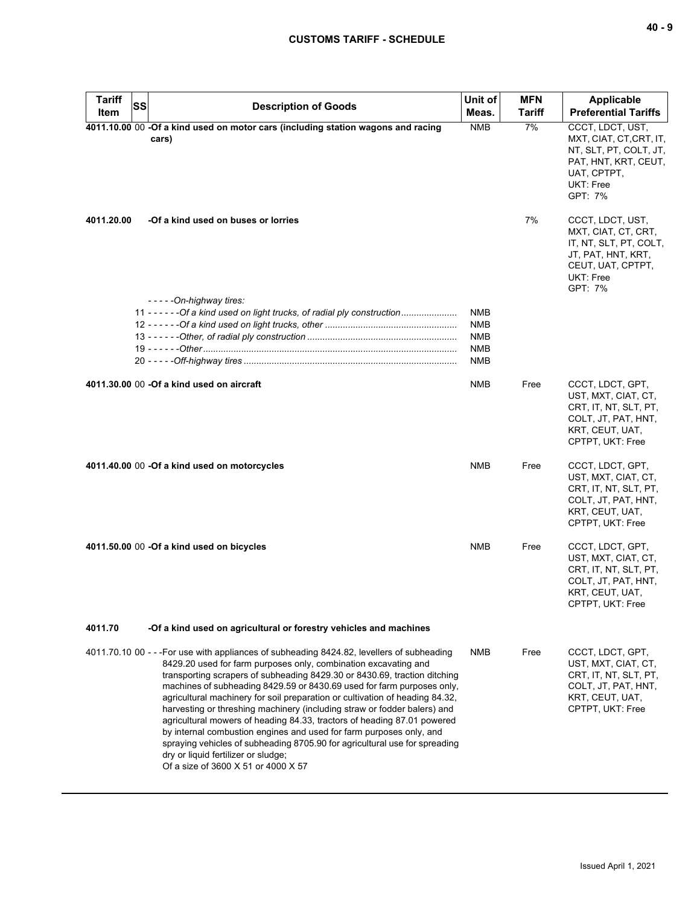| <b>Tariff</b> | <b>SS</b>                                                                                                                                                                                                                                                                                                                                                                                                                                                                                                                                                                                                                                                                                                                                                                                      | Unit of                                                            | <b>MFN</b>    | <b>Applicable</b>                                                                                                                    |
|---------------|------------------------------------------------------------------------------------------------------------------------------------------------------------------------------------------------------------------------------------------------------------------------------------------------------------------------------------------------------------------------------------------------------------------------------------------------------------------------------------------------------------------------------------------------------------------------------------------------------------------------------------------------------------------------------------------------------------------------------------------------------------------------------------------------|--------------------------------------------------------------------|---------------|--------------------------------------------------------------------------------------------------------------------------------------|
| Item          | <b>Description of Goods</b>                                                                                                                                                                                                                                                                                                                                                                                                                                                                                                                                                                                                                                                                                                                                                                    | Meas.                                                              | <b>Tariff</b> | <b>Preferential Tariffs</b>                                                                                                          |
|               | 4011.10.00 00 -Of a kind used on motor cars (including station wagons and racing<br>cars)                                                                                                                                                                                                                                                                                                                                                                                                                                                                                                                                                                                                                                                                                                      | <b>NMB</b>                                                         | 7%            | CCCT, LDCT, UST,<br>MXT, CIAT, CT, CRT, IT,<br>NT, SLT, PT, COLT, JT,<br>PAT, HNT, KRT, CEUT,<br>UAT, CPTPT,<br>UKT: Free<br>GPT: 7% |
| 4011.20.00    | -Of a kind used on buses or lorries                                                                                                                                                                                                                                                                                                                                                                                                                                                                                                                                                                                                                                                                                                                                                            |                                                                    | 7%            | CCCT, LDCT, UST,<br>MXT, CIAT, CT, CRT,<br>IT, NT, SLT, PT, COLT,<br>JT, PAT, HNT, KRT,<br>CEUT, UAT, CPTPT,<br>UKT: Free<br>GPT: 7% |
|               | $---On-highway$ tires:                                                                                                                                                                                                                                                                                                                                                                                                                                                                                                                                                                                                                                                                                                                                                                         |                                                                    |               |                                                                                                                                      |
|               | 11 - - - - - - Of a kind used on light trucks, of radial ply construction                                                                                                                                                                                                                                                                                                                                                                                                                                                                                                                                                                                                                                                                                                                      | <b>NMB</b><br><b>NMB</b><br><b>NMB</b><br><b>NMB</b><br><b>NMB</b> |               |                                                                                                                                      |
|               | 4011.30.00 00 - Of a kind used on aircraft                                                                                                                                                                                                                                                                                                                                                                                                                                                                                                                                                                                                                                                                                                                                                     | <b>NMB</b>                                                         | Free          | CCCT, LDCT, GPT,<br>UST, MXT, CIAT, CT,<br>CRT, IT, NT, SLT, PT,<br>COLT, JT, PAT, HNT,<br>KRT, CEUT, UAT,<br>CPTPT, UKT: Free       |
|               | 4011.40.00 00 -Of a kind used on motorcycles                                                                                                                                                                                                                                                                                                                                                                                                                                                                                                                                                                                                                                                                                                                                                   | <b>NMB</b>                                                         | Free          | CCCT, LDCT, GPT,<br>UST, MXT, CIAT, CT,<br>CRT, IT, NT, SLT, PT,<br>COLT, JT, PAT, HNT,<br>KRT, CEUT, UAT,<br>CPTPT, UKT: Free       |
|               | 4011.50.00 00 -Of a kind used on bicycles                                                                                                                                                                                                                                                                                                                                                                                                                                                                                                                                                                                                                                                                                                                                                      | <b>NMB</b>                                                         | Free          | CCCT, LDCT, GPT,<br>UST, MXT, CIAT, CT,<br>CRT, IT, NT, SLT, PT,<br>COLT, JT, PAT, HNT,<br>KRT, CEUT, UAT,<br>CPTPT, UKT: Free       |
| 4011.70       | -Of a kind used on agricultural or forestry vehicles and machines                                                                                                                                                                                                                                                                                                                                                                                                                                                                                                                                                                                                                                                                                                                              |                                                                    |               |                                                                                                                                      |
|               | 4011.70.10 00 - - - For use with appliances of subheading 8424.82, levellers of subheading<br>8429.20 used for farm purposes only, combination excavating and<br>transporting scrapers of subheading 8429.30 or 8430.69, traction ditching<br>machines of subheading 8429.59 or 8430.69 used for farm purposes only,<br>agricultural machinery for soil preparation or cultivation of heading 84.32,<br>harvesting or threshing machinery (including straw or fodder balers) and<br>agricultural mowers of heading 84.33, tractors of heading 87.01 powered<br>by internal combustion engines and used for farm purposes only, and<br>spraying vehicles of subheading 8705.90 for agricultural use for spreading<br>dry or liquid fertilizer or sludge;<br>Of a size of 3600 X 51 or 4000 X 57 | <b>NMB</b>                                                         | Free          | CCCT, LDCT, GPT,<br>UST, MXT, CIAT, CT,<br>CRT, IT, NT, SLT, PT,<br>COLT, JT, PAT, HNT,<br>KRT, CEUT, UAT,<br>CPTPT, UKT: Free       |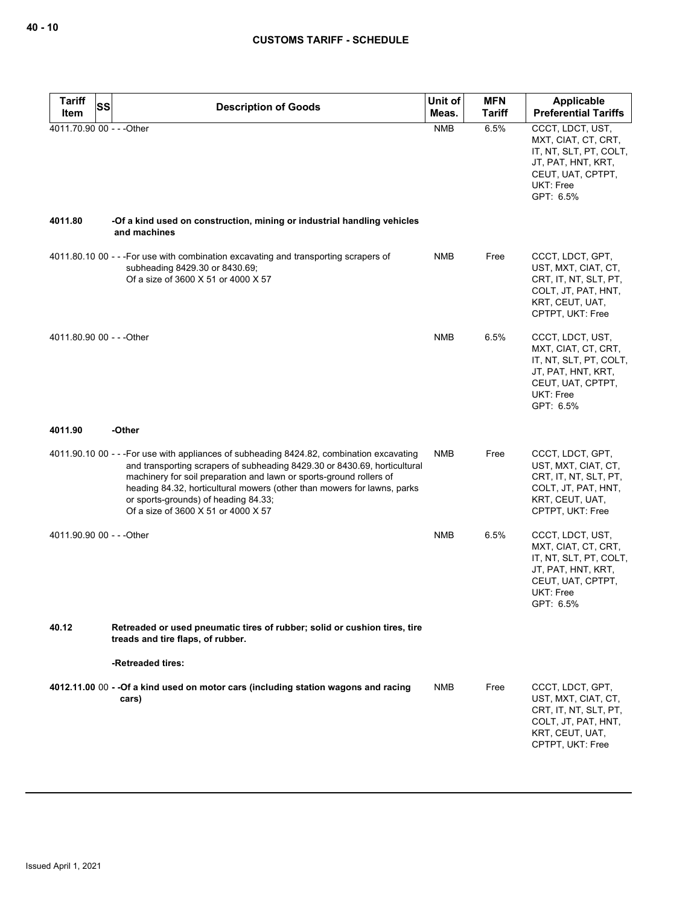| <b>Tariff</b><br><b>SS</b> | <b>Description of Goods</b>                                                                                                                                                                                                                                                                                                                                                                            | Unit of    | <b>MFN</b>    | Applicable                                                                                                                             |
|----------------------------|--------------------------------------------------------------------------------------------------------------------------------------------------------------------------------------------------------------------------------------------------------------------------------------------------------------------------------------------------------------------------------------------------------|------------|---------------|----------------------------------------------------------------------------------------------------------------------------------------|
| Item                       |                                                                                                                                                                                                                                                                                                                                                                                                        | Meas.      | <b>Tariff</b> | <b>Preferential Tariffs</b>                                                                                                            |
| 4011.70.90 00 - - - Other  |                                                                                                                                                                                                                                                                                                                                                                                                        | <b>NMB</b> | 6.5%          | CCCT, LDCT, UST,<br>MXT, CIAT, CT, CRT,<br>IT, NT, SLT, PT, COLT,<br>JT, PAT, HNT, KRT,<br>CEUT, UAT, CPTPT,<br>UKT: Free<br>GPT: 6.5% |
| 4011.80                    | -Of a kind used on construction, mining or industrial handling vehicles<br>and machines                                                                                                                                                                                                                                                                                                                |            |               |                                                                                                                                        |
|                            | 4011.80.10 00 - - - For use with combination excavating and transporting scrapers of<br>subheading 8429.30 or 8430.69;<br>Of a size of 3600 X 51 or 4000 X 57                                                                                                                                                                                                                                          | NMB        | Free          | CCCT, LDCT, GPT,<br>UST, MXT, CIAT, CT,<br>CRT, IT, NT, SLT, PT,<br>COLT, JT, PAT, HNT,<br>KRT, CEUT, UAT,<br>CPTPT, UKT: Free         |
| 4011.80.90 00 - - - Other  |                                                                                                                                                                                                                                                                                                                                                                                                        | <b>NMB</b> | 6.5%          | CCCT, LDCT, UST,<br>MXT, CIAT, CT, CRT,<br>IT, NT, SLT, PT, COLT,<br>JT, PAT, HNT, KRT,<br>CEUT, UAT, CPTPT,<br>UKT: Free<br>GPT: 6.5% |
| 4011.90                    | -Other                                                                                                                                                                                                                                                                                                                                                                                                 |            |               |                                                                                                                                        |
|                            | 4011.90.10 00 - - -For use with appliances of subheading 8424.82, combination excavating<br>and transporting scrapers of subheading 8429.30 or 8430.69, horticultural<br>machinery for soil preparation and lawn or sports-ground rollers of<br>heading 84.32, horticultural mowers (other than mowers for lawns, parks<br>or sports-grounds) of heading 84.33;<br>Of a size of 3600 X 51 or 4000 X 57 | NMB        | Free          | CCCT, LDCT, GPT,<br>UST, MXT, CIAT, CT,<br>CRT, IT, NT, SLT, PT,<br>COLT, JT, PAT, HNT,<br>KRT, CEUT, UAT,<br>CPTPT, UKT: Free         |
| 4011.90.90 00 - - - Other  |                                                                                                                                                                                                                                                                                                                                                                                                        | <b>NMB</b> | 6.5%          | CCCT, LDCT, UST,<br>MXT, CIAT, CT, CRT,<br>IT, NT, SLT, PT, COLT,<br>JT, PAT, HNT, KRT,<br>CEUT, UAT, CPTPT,<br>UKT: Free<br>GPT: 6.5% |
| 40.12                      | Retreaded or used pneumatic tires of rubber; solid or cushion tires, tire<br>treads and tire flaps, of rubber.                                                                                                                                                                                                                                                                                         |            |               |                                                                                                                                        |
|                            | -Retreaded tires:                                                                                                                                                                                                                                                                                                                                                                                      |            |               |                                                                                                                                        |
|                            | 4012.11.00 00 - - Of a kind used on motor cars (including station wagons and racing<br>cars)                                                                                                                                                                                                                                                                                                           | NMB        | Free          | CCCT, LDCT, GPT,<br>UST, MXT, CIAT, CT,<br>CRT, IT, NT, SLT, PT,<br>COLT, JT, PAT, HNT,<br>KRT, CEUT, UAT,<br>CPTPT, UKT: Free         |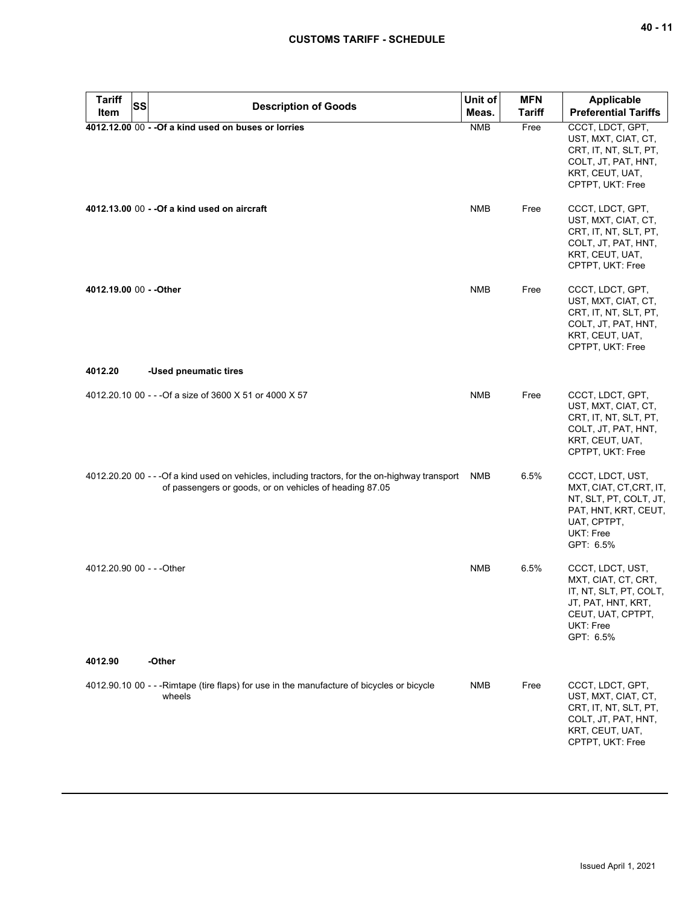## **CUSTOMS TARIFF - SCHEDULE**

| <b>Tariff</b><br><b>SS</b> | <b>Description of Goods</b>                                                                                                                                 | Unit of    | <b>MFN</b>    | Applicable                                                                                                                             |
|----------------------------|-------------------------------------------------------------------------------------------------------------------------------------------------------------|------------|---------------|----------------------------------------------------------------------------------------------------------------------------------------|
| Item                       |                                                                                                                                                             | Meas.      | <b>Tariff</b> | <b>Preferential Tariffs</b>                                                                                                            |
|                            | 4012.12.00 00 - - Of a kind used on buses or lorries                                                                                                        | <b>NMB</b> | Free          | CCCT, LDCT, GPT,<br>UST, MXT, CIAT, CT,<br>CRT, IT, NT, SLT, PT,<br>COLT, JT, PAT, HNT,<br>KRT, CEUT, UAT,<br>CPTPT, UKT: Free         |
|                            | 4012.13.00 00 - - Of a kind used on aircraft                                                                                                                | <b>NMB</b> | Free          | CCCT, LDCT, GPT,<br>UST, MXT, CIAT, CT,<br>CRT, IT, NT, SLT, PT,<br>COLT, JT, PAT, HNT,<br>KRT, CEUT, UAT,<br>CPTPT, UKT: Free         |
| 4012.19.00 00 - - Other    |                                                                                                                                                             | <b>NMB</b> | Free          | CCCT, LDCT, GPT,<br>UST, MXT, CIAT, CT,<br>CRT, IT, NT, SLT, PT,<br>COLT, JT, PAT, HNT,<br>KRT, CEUT, UAT,<br>CPTPT, UKT: Free         |
| 4012.20                    | -Used pneumatic tires                                                                                                                                       |            |               |                                                                                                                                        |
|                            | 4012.20.10 00 - - - Of a size of 3600 X 51 or 4000 X 57                                                                                                     | <b>NMB</b> | Free          | CCCT, LDCT, GPT,<br>UST, MXT, CIAT, CT,<br>CRT, IT, NT, SLT, PT,<br>COLT, JT, PAT, HNT,<br>KRT, CEUT, UAT,<br>CPTPT, UKT: Free         |
|                            | 4012.20.20 00 - - - Of a kind used on vehicles, including tractors, for the on-highway transport<br>of passengers or goods, or on vehicles of heading 87.05 | NMB        | 6.5%          | CCCT, LDCT, UST,<br>MXT, CIAT, CT, CRT, IT,<br>NT, SLT, PT, COLT, JT,<br>PAT, HNT, KRT, CEUT,<br>UAT, CPTPT,<br>UKT: Free<br>GPT: 6.5% |
| 4012.20.90 00 - - - Other  |                                                                                                                                                             | <b>NMB</b> | 6.5%          | CCCT, LDCT, UST,<br>MXT, CIAT, CT, CRT,<br>IT, NT, SLT, PT, COLT,<br>JT, PAT, HNT, KRT,<br>CEUT, UAT, CPTPT,<br>UKT: Free<br>GPT: 6.5% |
| 4012.90                    | -Other                                                                                                                                                      |            |               |                                                                                                                                        |
|                            | 4012.90.10 00 - - -Rimtape (tire flaps) for use in the manufacture of bicycles or bicycle<br>wheels                                                         | NMB        | Free          | CCCT, LDCT, GPT,<br>UST, MXT, CIAT, CT,<br>CRT, IT, NT, SLT, PT,<br>COLT, JT, PAT, HNT,<br>KRT, CEUT, UAT,<br>CPTPT, UKT: Free         |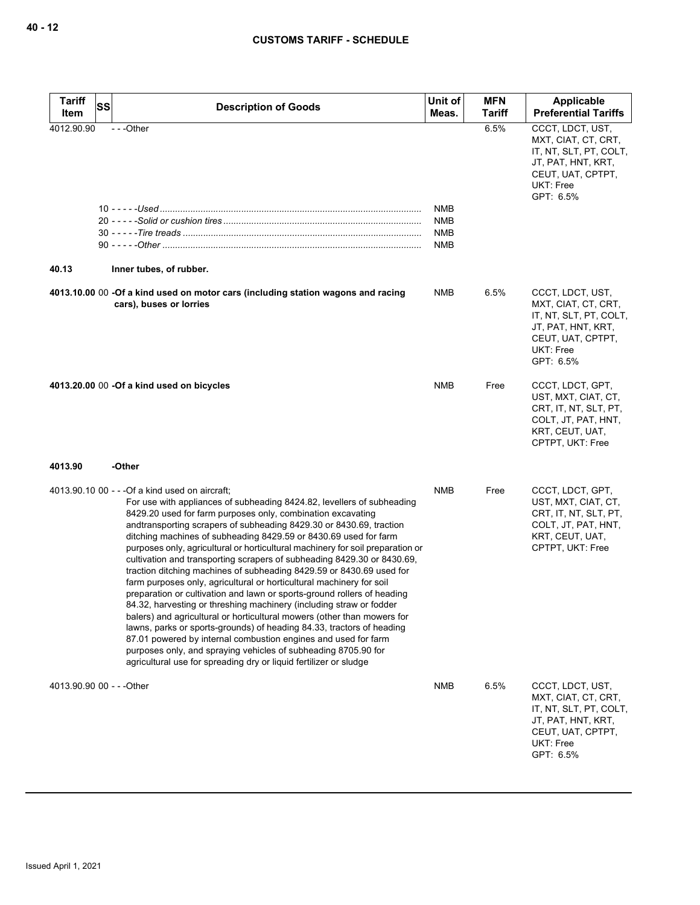| <b>Tariff</b><br>Item     | SS | <b>Description of Goods</b>                                                                                                                                                                                                                                                                                                                                                                                                                                                                                                                                                                                                                                                                                                                                                                                                                                                                                                                                                                                                                                                                                                                                     | Unit of<br>Meas.                              | <b>MFN</b><br><b>Tariff</b> | Applicable<br><b>Preferential Tariffs</b>                                                                                              |
|---------------------------|----|-----------------------------------------------------------------------------------------------------------------------------------------------------------------------------------------------------------------------------------------------------------------------------------------------------------------------------------------------------------------------------------------------------------------------------------------------------------------------------------------------------------------------------------------------------------------------------------------------------------------------------------------------------------------------------------------------------------------------------------------------------------------------------------------------------------------------------------------------------------------------------------------------------------------------------------------------------------------------------------------------------------------------------------------------------------------------------------------------------------------------------------------------------------------|-----------------------------------------------|-----------------------------|----------------------------------------------------------------------------------------------------------------------------------------|
| 4012.90.90<br>40.13       |    | $- -$ Other<br>Inner tubes, of rubber.                                                                                                                                                                                                                                                                                                                                                                                                                                                                                                                                                                                                                                                                                                                                                                                                                                                                                                                                                                                                                                                                                                                          | <b>NMB</b><br>NMB<br><b>NMB</b><br><b>NMB</b> | 6.5%                        | CCCT, LDCT, UST,<br>MXT, CIAT, CT, CRT,<br>IT, NT, SLT, PT, COLT,<br>JT, PAT, HNT, KRT,<br>CEUT, UAT, CPTPT,<br>UKT: Free<br>GPT: 6.5% |
|                           |    | 4013.10.00 00 -Of a kind used on motor cars (including station wagons and racing<br>cars), buses or lorries                                                                                                                                                                                                                                                                                                                                                                                                                                                                                                                                                                                                                                                                                                                                                                                                                                                                                                                                                                                                                                                     | NMB                                           | 6.5%                        | CCCT, LDCT, UST,<br>MXT, CIAT, CT, CRT,<br>IT, NT, SLT, PT, COLT,<br>JT, PAT, HNT, KRT,<br>CEUT, UAT, CPTPT,<br>UKT: Free<br>GPT: 6.5% |
|                           |    | 4013.20.00 00 -Of a kind used on bicycles                                                                                                                                                                                                                                                                                                                                                                                                                                                                                                                                                                                                                                                                                                                                                                                                                                                                                                                                                                                                                                                                                                                       | NMB                                           | Free                        | CCCT, LDCT, GPT,<br>UST, MXT, CIAT, CT,<br>CRT, IT, NT, SLT, PT,<br>COLT, JT, PAT, HNT,<br>KRT, CEUT, UAT,<br>CPTPT, UKT: Free         |
| 4013.90                   |    | -Other                                                                                                                                                                                                                                                                                                                                                                                                                                                                                                                                                                                                                                                                                                                                                                                                                                                                                                                                                                                                                                                                                                                                                          |                                               |                             |                                                                                                                                        |
|                           |    | 4013.90.10 00 - - - Of a kind used on aircraft;<br>For use with appliances of subheading 8424.82, levellers of subheading<br>8429.20 used for farm purposes only, combination excavating<br>andtransporting scrapers of subheading 8429.30 or 8430.69, traction<br>ditching machines of subheading 8429.59 or 8430.69 used for farm<br>purposes only, agricultural or horticultural machinery for soil preparation or<br>cultivation and transporting scrapers of subheading 8429.30 or 8430.69,<br>traction ditching machines of subheading 8429.59 or 8430.69 used for<br>farm purposes only, agricultural or horticultural machinery for soil<br>preparation or cultivation and lawn or sports-ground rollers of heading<br>84.32, harvesting or threshing machinery (including straw or fodder<br>balers) and agricultural or horticultural mowers (other than mowers for<br>lawns, parks or sports-grounds) of heading 84.33, tractors of heading<br>87.01 powered by internal combustion engines and used for farm<br>purposes only, and spraying vehicles of subheading 8705.90 for<br>agricultural use for spreading dry or liquid fertilizer or sludge | <b>NMB</b>                                    | Free                        | CCCT, LDCT, GPT,<br>UST, MXT, CIAT, CT,<br>CRT, IT, NT, SLT, PT,<br>COLT, JT, PAT, HNT,<br>KRT, CEUT, UAT,<br>CPTPT, UKT: Free         |
| 4013.90.90 00 - - - Other |    |                                                                                                                                                                                                                                                                                                                                                                                                                                                                                                                                                                                                                                                                                                                                                                                                                                                                                                                                                                                                                                                                                                                                                                 | <b>NMB</b>                                    | 6.5%                        | CCCT, LDCT, UST,<br>MXT, CIAT, CT, CRT,<br>IT, NT, SLT, PT, COLT,<br>JT, PAT, HNT, KRT,<br>CEUT, UAT, CPTPT,<br>UKT: Free<br>GPT: 6.5% |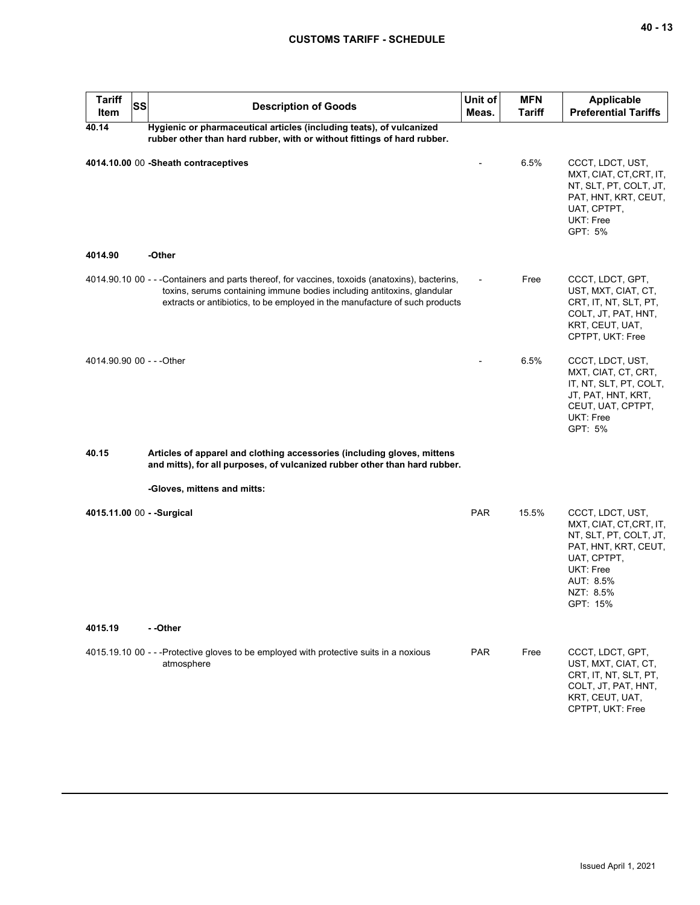# **CUSTOMS TARIFF - SCHEDULE**

| <b>Tariff</b><br>Item      | <b>SS</b> | <b>Description of Goods</b>                                                                                                                                                                                                                              | Unit of<br>Meas. | <b>MFN</b><br>Tariff | <b>Applicable</b><br><b>Preferential Tariffs</b>                                                                                                                |
|----------------------------|-----------|----------------------------------------------------------------------------------------------------------------------------------------------------------------------------------------------------------------------------------------------------------|------------------|----------------------|-----------------------------------------------------------------------------------------------------------------------------------------------------------------|
| 40.14                      |           | Hygienic or pharmaceutical articles (including teats), of vulcanized<br>rubber other than hard rubber, with or without fittings of hard rubber.                                                                                                          |                  |                      |                                                                                                                                                                 |
|                            |           | 4014.10.00 00 -Sheath contraceptives                                                                                                                                                                                                                     |                  | 6.5%                 | CCCT, LDCT, UST,<br>MXT, CIAT, CT, CRT, IT,<br>NT, SLT, PT, COLT, JT,<br>PAT, HNT, KRT, CEUT,<br>UAT, CPTPT,<br>UKT: Free<br>GPT: 5%                            |
| 4014.90                    |           | -Other                                                                                                                                                                                                                                                   |                  |                      |                                                                                                                                                                 |
|                            |           | 4014.90.10 00 - - -Containers and parts thereof, for vaccines, toxoids (anatoxins), bacterins,<br>toxins, serums containing immune bodies including antitoxins, glandular<br>extracts or antibiotics, to be employed in the manufacture of such products |                  | Free                 | CCCT, LDCT, GPT,<br>UST, MXT, CIAT, CT,<br>CRT, IT, NT, SLT, PT,<br>COLT, JT, PAT, HNT,<br>KRT, CEUT, UAT,<br>CPTPT, UKT: Free                                  |
| 4014.90.90 00 - - - Other  |           |                                                                                                                                                                                                                                                          |                  | 6.5%                 | CCCT, LDCT, UST,<br>MXT, CIAT, CT, CRT,<br>IT, NT, SLT, PT, COLT,<br>JT, PAT, HNT, KRT,<br>CEUT, UAT, CPTPT,<br>UKT: Free<br>GPT: 5%                            |
| 40.15                      |           | Articles of apparel and clothing accessories (including gloves, mittens<br>and mitts), for all purposes, of vulcanized rubber other than hard rubber.                                                                                                    |                  |                      |                                                                                                                                                                 |
|                            |           | -Gloves, mittens and mitts:                                                                                                                                                                                                                              |                  |                      |                                                                                                                                                                 |
| 4015.11.00 00 - - Surgical |           |                                                                                                                                                                                                                                                          | <b>PAR</b>       | 15.5%                | CCCT, LDCT, UST,<br>MXT, CIAT, CT, CRT, IT,<br>NT, SLT, PT, COLT, JT,<br>PAT, HNT, KRT, CEUT,<br>UAT, CPTPT,<br>UKT: Free<br>AUT: 8.5%<br>NZT: 8.5%<br>GPT: 15% |
| 4015.19                    |           | - -Other                                                                                                                                                                                                                                                 |                  |                      |                                                                                                                                                                 |
|                            |           | 4015.19.10 00 - - -Protective gloves to be employed with protective suits in a noxious<br>atmosphere                                                                                                                                                     | <b>PAR</b>       | Free                 | CCCT, LDCT, GPT,<br>UST, MXT, CIAT, CT,<br>CRT, IT, NT, SLT, PT,<br>COLT, JT, PAT, HNT,<br>KRT, CEUT, UAT,<br>CPTPT, UKT: Free                                  |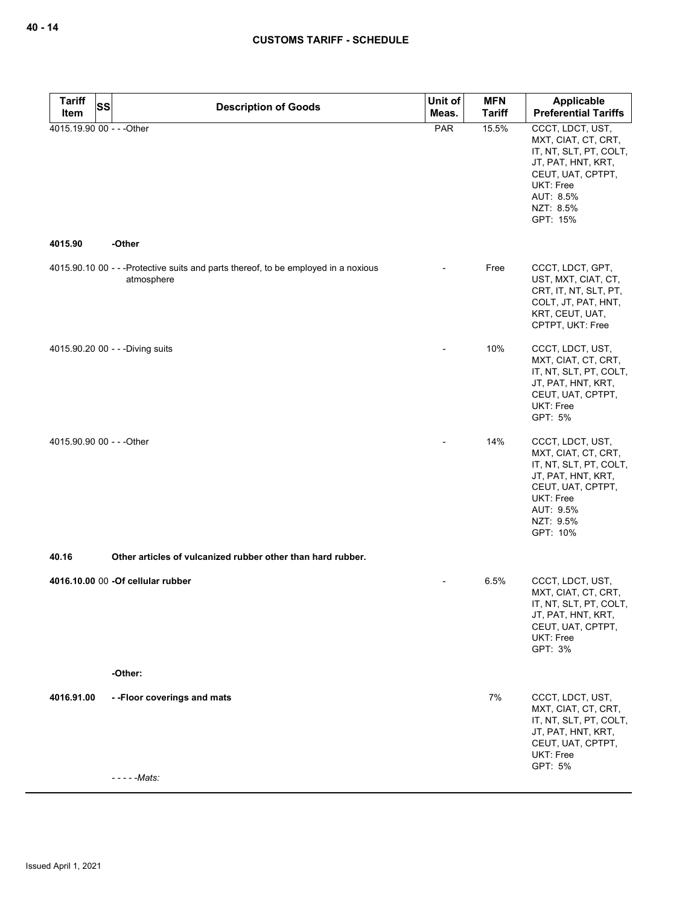| <b>Tariff</b><br>SS                  | <b>Description of Goods</b>                                                                      | Unit of | <b>MFN</b>    | Applicable                                                                                                                                                      |
|--------------------------------------|--------------------------------------------------------------------------------------------------|---------|---------------|-----------------------------------------------------------------------------------------------------------------------------------------------------------------|
| Item                                 |                                                                                                  | Meas.   | <b>Tariff</b> | <b>Preferential Tariffs</b>                                                                                                                                     |
| 4015.19.90 00 - - - Other<br>4015.90 | -Other                                                                                           | PAR     | 15.5%         | CCCT, LDCT, UST,<br>MXT, CIAT, CT, CRT,<br>IT, NT, SLT, PT, COLT,<br>JT, PAT, HNT, KRT,<br>CEUT, UAT, CPTPT,<br>UKT: Free<br>AUT: 8.5%<br>NZT: 8.5%<br>GPT: 15% |
|                                      |                                                                                                  |         |               |                                                                                                                                                                 |
|                                      | 4015.90.10 00 - - -Protective suits and parts thereof, to be employed in a noxious<br>atmosphere |         | Free          | CCCT, LDCT, GPT,<br>UST, MXT, CIAT, CT,<br>CRT, IT, NT, SLT, PT,<br>COLT, JT, PAT, HNT,<br>KRT, CEUT, UAT,<br>CPTPT, UKT: Free                                  |
|                                      | 4015.90.20 00 - - - Diving suits                                                                 |         | 10%           | CCCT, LDCT, UST,<br>MXT, CIAT, CT, CRT,<br>IT, NT, SLT, PT, COLT,<br>JT, PAT, HNT, KRT,<br>CEUT, UAT, CPTPT,<br>UKT: Free<br>GPT: 5%                            |
| 4015.90.90 00 - - - Other            |                                                                                                  |         | 14%           | CCCT, LDCT, UST,<br>MXT, CIAT, CT, CRT,<br>IT, NT, SLT, PT, COLT,<br>JT, PAT, HNT, KRT,<br>CEUT, UAT, CPTPT,<br>UKT: Free<br>AUT: 9.5%<br>NZT: 9.5%<br>GPT: 10% |
| 40.16                                | Other articles of vulcanized rubber other than hard rubber.                                      |         |               |                                                                                                                                                                 |
|                                      | 4016.10.00 00 - Of cellular rubber                                                               |         | 6.5%          | CCCT, LDCT, UST,<br>MXT, CIAT, CT, CRT,<br>IT, NT, SLT, PT, COLT,<br>JT, PAT, HNT, KRT,<br>CEUT, UAT, CPTPT,<br>UKT: Free<br>GPT: 3%                            |
|                                      | -Other:                                                                                          |         |               |                                                                                                                                                                 |
| 4016.91.00                           | --Floor coverings and mats<br>- - - - - Mats:                                                    |         | 7%            | CCCT, LDCT, UST,<br>MXT, CIAT, CT, CRT,<br>IT, NT, SLT, PT, COLT,<br>JT, PAT, HNT, KRT,<br>CEUT, UAT, CPTPT,<br>UKT: Free<br>GPT: 5%                            |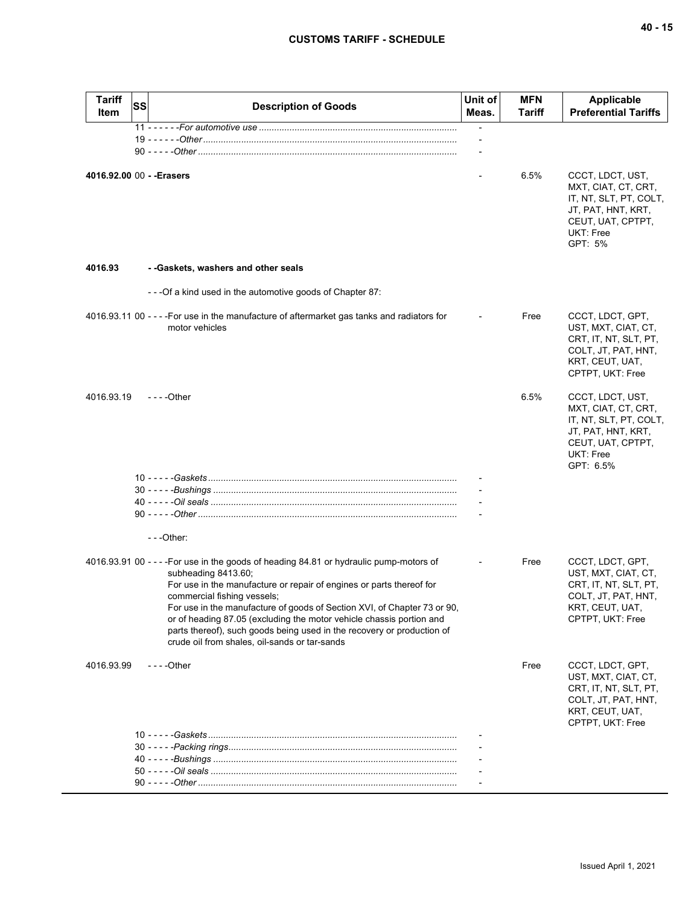| <b>Tariff</b><br>Item | <b>SS</b> | <b>Description of Goods</b>                                                                                                                                                                                                                                                                                                                                                                                                                                                                          | Unit of<br>Meas.         | <b>MFN</b><br>Tariff | <b>Applicable</b><br><b>Preferential Tariffs</b>                                                                                       |
|-----------------------|-----------|------------------------------------------------------------------------------------------------------------------------------------------------------------------------------------------------------------------------------------------------------------------------------------------------------------------------------------------------------------------------------------------------------------------------------------------------------------------------------------------------------|--------------------------|----------------------|----------------------------------------------------------------------------------------------------------------------------------------|
|                       |           |                                                                                                                                                                                                                                                                                                                                                                                                                                                                                                      | $\overline{\phantom{a}}$ |                      |                                                                                                                                        |
|                       |           |                                                                                                                                                                                                                                                                                                                                                                                                                                                                                                      |                          |                      |                                                                                                                                        |
|                       |           |                                                                                                                                                                                                                                                                                                                                                                                                                                                                                                      |                          |                      |                                                                                                                                        |
|                       |           | 4016.92.00 00 - - Erasers                                                                                                                                                                                                                                                                                                                                                                                                                                                                            |                          | 6.5%                 | CCCT, LDCT, UST,<br>MXT, CIAT, CT, CRT,<br>IT, NT, SLT, PT, COLT,<br>JT, PAT, HNT, KRT,<br>CEUT, UAT, CPTPT,<br>UKT: Free<br>GPT: 5%   |
| 4016.93               |           | - - Gaskets, washers and other seals                                                                                                                                                                                                                                                                                                                                                                                                                                                                 |                          |                      |                                                                                                                                        |
|                       |           | ---Of a kind used in the automotive goods of Chapter 87:                                                                                                                                                                                                                                                                                                                                                                                                                                             |                          |                      |                                                                                                                                        |
|                       |           | 4016.93.11 00 - - - - For use in the manufacture of aftermarket gas tanks and radiators for<br>motor vehicles                                                                                                                                                                                                                                                                                                                                                                                        |                          | Free                 | CCCT, LDCT, GPT,<br>UST, MXT, CIAT, CT,<br>CRT, IT, NT, SLT, PT,<br>COLT, JT, PAT, HNT,<br>KRT, CEUT, UAT,<br>CPTPT, UKT: Free         |
| 4016.93.19            |           | $- - -$ Other                                                                                                                                                                                                                                                                                                                                                                                                                                                                                        |                          | 6.5%                 | CCCT, LDCT, UST,<br>MXT, CIAT, CT, CRT,<br>IT, NT, SLT, PT, COLT,<br>JT, PAT, HNT, KRT,<br>CEUT, UAT, CPTPT,<br>UKT: Free<br>GPT: 6.5% |
|                       |           |                                                                                                                                                                                                                                                                                                                                                                                                                                                                                                      |                          |                      |                                                                                                                                        |
|                       |           |                                                                                                                                                                                                                                                                                                                                                                                                                                                                                                      |                          |                      |                                                                                                                                        |
|                       |           |                                                                                                                                                                                                                                                                                                                                                                                                                                                                                                      |                          |                      |                                                                                                                                        |
|                       |           |                                                                                                                                                                                                                                                                                                                                                                                                                                                                                                      |                          |                      |                                                                                                                                        |
|                       |           | $- -$ Other:                                                                                                                                                                                                                                                                                                                                                                                                                                                                                         |                          |                      |                                                                                                                                        |
|                       |           | 4016.93.91 00 - - - - For use in the goods of heading 84.81 or hydraulic pump-motors of<br>subheading 8413.60;<br>For use in the manufacture or repair of engines or parts thereof for<br>commercial fishing vessels;<br>For use in the manufacture of goods of Section XVI, of Chapter 73 or 90,<br>or of heading 87.05 (excluding the motor vehicle chassis portion and<br>parts thereof), such goods being used in the recovery or production of<br>crude oil from shales, oil-sands or tar-sands |                          | Free                 | CCCT, LDCT, GPT,<br>UST, MXT, CIAT, CT,<br>CRT, IT, NT, SLT, PT,<br>COLT, JT, PAT, HNT,<br>KRT, CEUT, UAT,<br>CPTPT, UKT: Free         |
| 4016.93.99            |           | $--$ Other                                                                                                                                                                                                                                                                                                                                                                                                                                                                                           |                          | Free                 | CCCT, LDCT, GPT,<br>UST, MXT, CIAT, CT,<br>CRT, IT, NT, SLT, PT,<br>COLT, JT, PAT, HNT,<br>KRT, CEUT, UAT,<br>CPTPT, UKT: Free         |
|                       |           |                                                                                                                                                                                                                                                                                                                                                                                                                                                                                                      |                          |                      |                                                                                                                                        |
|                       |           |                                                                                                                                                                                                                                                                                                                                                                                                                                                                                                      |                          |                      |                                                                                                                                        |
|                       |           |                                                                                                                                                                                                                                                                                                                                                                                                                                                                                                      |                          |                      |                                                                                                                                        |
|                       |           |                                                                                                                                                                                                                                                                                                                                                                                                                                                                                                      |                          |                      |                                                                                                                                        |
|                       |           |                                                                                                                                                                                                                                                                                                                                                                                                                                                                                                      |                          |                      |                                                                                                                                        |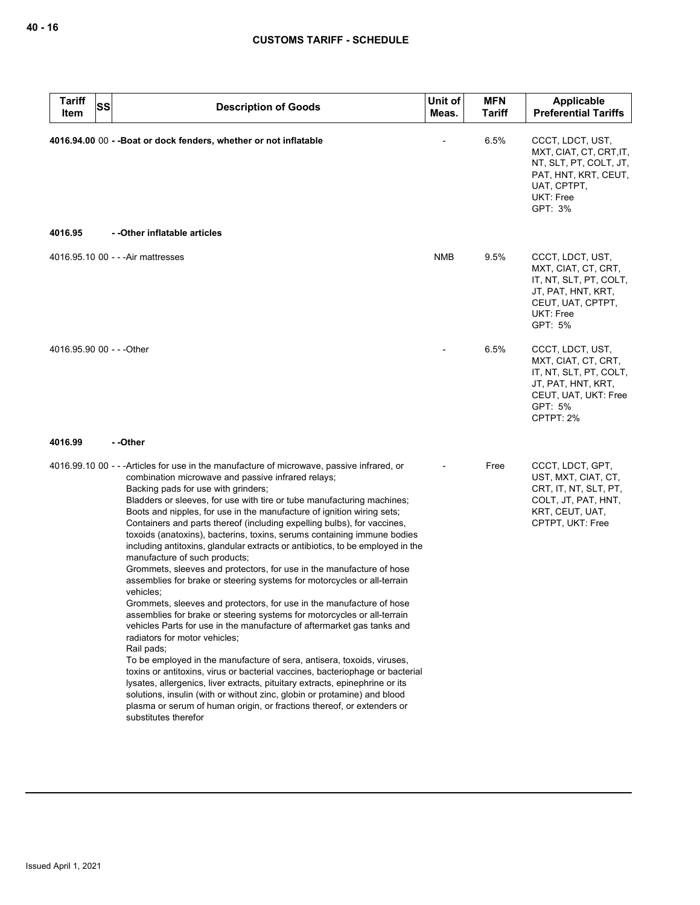| <b>Tariff</b><br><b>SS</b><br>ltem | <b>Description of Goods</b>                                                                                                                                                                                                                                                                                                                                                                                                                                                                                                                                                                                                                                                                                                                                                                                                                                                                                                                                                                                                                                                                                                                                                                                                                                                                                                                                                                                                                                                               | Unit of<br>Meas. | <b>MFN</b><br>Tariff | Applicable<br><b>Preferential Tariffs</b>                                                                                               |
|------------------------------------|-------------------------------------------------------------------------------------------------------------------------------------------------------------------------------------------------------------------------------------------------------------------------------------------------------------------------------------------------------------------------------------------------------------------------------------------------------------------------------------------------------------------------------------------------------------------------------------------------------------------------------------------------------------------------------------------------------------------------------------------------------------------------------------------------------------------------------------------------------------------------------------------------------------------------------------------------------------------------------------------------------------------------------------------------------------------------------------------------------------------------------------------------------------------------------------------------------------------------------------------------------------------------------------------------------------------------------------------------------------------------------------------------------------------------------------------------------------------------------------------|------------------|----------------------|-----------------------------------------------------------------------------------------------------------------------------------------|
|                                    | 4016.94.00 00 - - Boat or dock fenders, whether or not inflatable                                                                                                                                                                                                                                                                                                                                                                                                                                                                                                                                                                                                                                                                                                                                                                                                                                                                                                                                                                                                                                                                                                                                                                                                                                                                                                                                                                                                                         |                  | 6.5%                 | CCCT, LDCT, UST,<br>MXT, CIAT, CT, CRT, IT,<br>NT, SLT, PT, COLT, JT,<br>PAT, HNT, KRT, CEUT,<br>UAT, CPTPT,<br>UKT: Free<br>GPT: 3%    |
| 4016.95                            | - -Other inflatable articles                                                                                                                                                                                                                                                                                                                                                                                                                                                                                                                                                                                                                                                                                                                                                                                                                                                                                                                                                                                                                                                                                                                                                                                                                                                                                                                                                                                                                                                              |                  |                      |                                                                                                                                         |
|                                    | 4016.95.10 00 - - - Air mattresses                                                                                                                                                                                                                                                                                                                                                                                                                                                                                                                                                                                                                                                                                                                                                                                                                                                                                                                                                                                                                                                                                                                                                                                                                                                                                                                                                                                                                                                        | NMB              | 9.5%                 | CCCT, LDCT, UST,<br>MXT, CIAT, CT, CRT,<br>IT, NT, SLT, PT, COLT,<br>JT, PAT, HNT, KRT,<br>CEUT, UAT, CPTPT,<br>UKT: Free<br>GPT: 5%    |
| 4016.95.90 00 - - - Other          |                                                                                                                                                                                                                                                                                                                                                                                                                                                                                                                                                                                                                                                                                                                                                                                                                                                                                                                                                                                                                                                                                                                                                                                                                                                                                                                                                                                                                                                                                           |                  | 6.5%                 | CCCT, LDCT, UST,<br>MXT, CIAT, CT, CRT,<br>IT, NT, SLT, PT, COLT,<br>JT, PAT, HNT, KRT,<br>CEUT, UAT, UKT: Free<br>GPT: 5%<br>CPTPT: 2% |
| 4016.99                            | - -Other                                                                                                                                                                                                                                                                                                                                                                                                                                                                                                                                                                                                                                                                                                                                                                                                                                                                                                                                                                                                                                                                                                                                                                                                                                                                                                                                                                                                                                                                                  |                  |                      |                                                                                                                                         |
|                                    | 4016.99.10 00 - - - Articles for use in the manufacture of microwave, passive infrared, or<br>combination microwave and passive infrared relays;<br>Backing pads for use with grinders;<br>Bladders or sleeves, for use with tire or tube manufacturing machines;<br>Boots and nipples, for use in the manufacture of ignition wiring sets;<br>Containers and parts thereof (including expelling bulbs), for vaccines,<br>toxoids (anatoxins), bacterins, toxins, serums containing immune bodies<br>including antitoxins, glandular extracts or antibiotics, to be employed in the<br>manufacture of such products;<br>Grommets, sleeves and protectors, for use in the manufacture of hose<br>assemblies for brake or steering systems for motorcycles or all-terrain<br>vehicles;<br>Grommets, sleeves and protectors, for use in the manufacture of hose<br>assemblies for brake or steering systems for motorcycles or all-terrain<br>vehicles Parts for use in the manufacture of aftermarket gas tanks and<br>radiators for motor vehicles;<br>Rail pads;<br>To be employed in the manufacture of sera, antisera, toxoids, viruses,<br>toxins or antitoxins, virus or bacterial vaccines, bacteriophage or bacterial<br>lysates, allergenics, liver extracts, pituitary extracts, epinephrine or its<br>solutions, insulin (with or without zinc, globin or protamine) and blood<br>plasma or serum of human origin, or fractions thereof, or extenders or<br>substitutes therefor |                  | Free                 | CCCT, LDCT, GPT,<br>UST, MXT, CIAT, CT,<br>CRT, IT, NT, SLT, PT,<br>COLT, JT, PAT, HNT,<br>KRT, CEUT, UAT,<br>CPTPT, UKT: Free          |